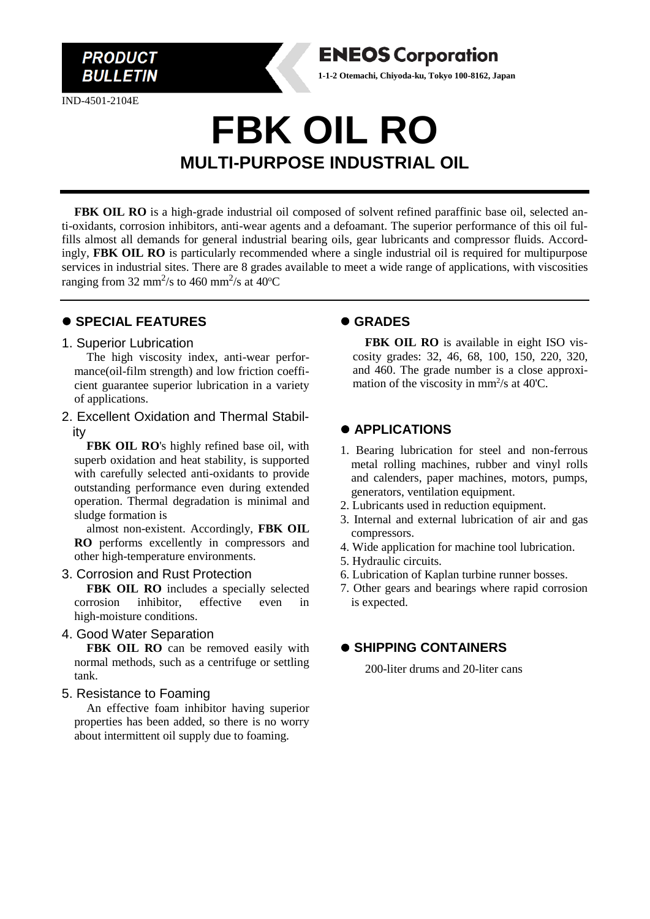

IND-4501-2104E

# **FBK OIL RO MULTI-PURPOSE INDUSTRIAL OIL**

FBK OIL RO is a high-grade industrial oil composed of solvent refined paraffinic base oil, selected anti-oxidants, corrosion inhibitors, anti-wear agents and a defoamant. The superior performance of this oil fulfills almost all demands for general industrial bearing oils, gear lubricants and compressor fluids. Accordingly, **FBK OIL RO** is particularly recommended where a single industrial oil is required for multipurpose services in industrial sites. There are 8 grades available to meet a wide range of applications, with viscosities ranging from 32 mm<sup>2</sup>/s to 460 mm<sup>2</sup>/s at 40<sup>o</sup>C

### ⚫ **SPECIAL FEATURES**

#### 1. Superior Lubrication

The high viscosity index, anti-wear performance(oil-film strength) and low friction coefficient guarantee superior lubrication in a variety of applications.

2. Excellent Oxidation and Thermal Stability

**FBK OIL RO**'s highly refined base oil, with superb oxidation and heat stability, is supported with carefully selected anti-oxidants to provide outstanding performance even during extended operation. Thermal degradation is minimal and sludge formation is

almost non-existent. Accordingly, **FBK OIL RO** performs excellently in compressors and other high-temperature environments.

### 3. Corrosion and Rust Protection

**FBK OIL RO** includes a specially selected rrosion inhibitor, effective even in corrosion inhibitor, effective even in high-moisture conditions.

#### 4. Good Water Separation

FBK OIL RO can be removed easily with normal methods, such as a centrifuge or settling tank.

### 5. Resistance to Foaming

An effective foam inhibitor having superior properties has been added, so there is no worry about intermittent oil supply due to foaming.

# ⚫ **GRADES**

**ENEOS Corporation 1-1-2 Otemachi, Chiyoda-ku, Tokyo 100-8162, Japan**

> **FBK OIL RO** is available in eight ISO viscosity grades: 32, 46, 68, 100, 150, 220, 320, and 460. The grade number is a close approximation of the viscosity in  $mm^2/s$  at 40°C.

# ⚫ **APPLICATIONS**

- 1. Bearing lubrication for steel and non-ferrous metal rolling machines, rubber and vinyl rolls and calenders, paper machines, motors, pumps, generators, ventilation equipment.
- 2. Lubricants used in reduction equipment.
- 3. Internal and external lubrication of air and gas compressors.
- 4. Wide application for machine tool lubrication.
- 5. Hydraulic circuits.
- 6. Lubrication of Kaplan turbine runner bosses.
- 7. Other gears and bearings where rapid corrosion is expected.

# ⚫ **SHIPPING CONTAINERS**

200-liter drums and 20-liter cans